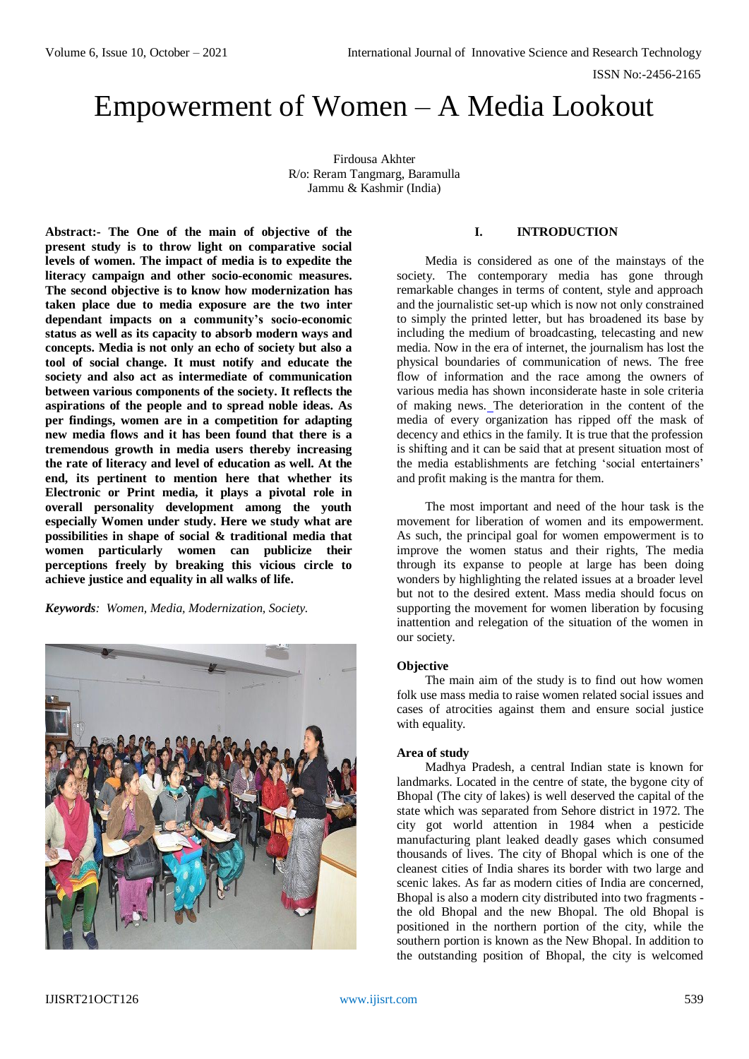# Empowerment of Women – A Media Lookout

Firdousa Akhter R/o: Reram Tangmarg, Baramulla Jammu & Kashmir (India)

**Abstract:- The One of the main of objective of the present study is to throw light on comparative social levels of women. The impact of media is to expedite the literacy campaign and other socio-economic measures. The second objective is to know how modernization has taken place due to media exposure are the two inter dependant impacts on a community's socio-economic status as well as its capacity to absorb modern ways and concepts. Media is not only an echo of society but also a tool of social change. It must notify and educate the society and also act as intermediate of communication between various components of the society. It reflects the aspirations of the people and to spread noble ideas. As per findings, women are in a competition for adapting new media flows and it has been found that there is a tremendous growth in media users thereby increasing the rate of literacy and level of education as well. At the end, its pertinent to mention here that whether its Electronic or Print media, it plays a pivotal role in overall personality development among the youth especially Women under study. Here we study what are possibilities in shape of social & traditional media that women particularly women can publicize their perceptions freely by breaking this vicious circle to achieve justice and equality in all walks of life.** 

*Keywords: Women, Media, Modernization, Society.*



# **I. INTRODUCTION**

Media is considered as one of the mainstays of the society. The contemporary media has gone through remarkable changes in terms of content, style and approach and the journalistic set-up which is now not only constrained to simply the printed letter, but has broadened its base by including the medium of broadcasting, telecasting and new media. Now in the era of internet, the journalism has lost the physical boundaries of communication of news. The free flow of information and the race among the owners of various media has shown inconsiderate haste in sole criteria of making news. The deterioration in the content of the media of every organization has ripped off the mask of decency and ethics in the family. It is true that the profession is shifting and it can be said that at present situation most of the media establishments are fetching 'social entertainers' and profit making is the mantra for them.

The most important and need of the hour task is the movement for liberation of women and its empowerment. As such, the principal goal for women empowerment is to improve the women status and their rights, The media through its expanse to people at large has been doing wonders by highlighting the related issues at a broader level but not to the desired extent. Mass media should focus on supporting the movement for women liberation by focusing inattention and relegation of the situation of the women in our society.

#### **Objective**

The main aim of the study is to find out how women folk use mass media to raise women related social issues and cases of atrocities against them and ensure social justice with equality.

#### **Area of study**

Madhya Pradesh, a central Indian state is known for landmarks. Located in the centre of state, the bygone city of Bhopal (The city of lakes) is well deserved the capital of the state which was separated from Sehore district in 1972. The city got world attention in 1984 when a pesticide manufacturing plant leaked deadly gases which consumed thousands of lives. The city of Bhopal which is one of the cleanest cities of India shares its border with two large and scenic lakes. As far as modern cities of India are concerned, Bhopal is also a modern city distributed into two fragments the old Bhopal and the new Bhopal. The old Bhopal is positioned in the northern portion of the city, while the southern portion is known as the New Bhopal. In addition to the outstanding position of Bhopal, the city is welcomed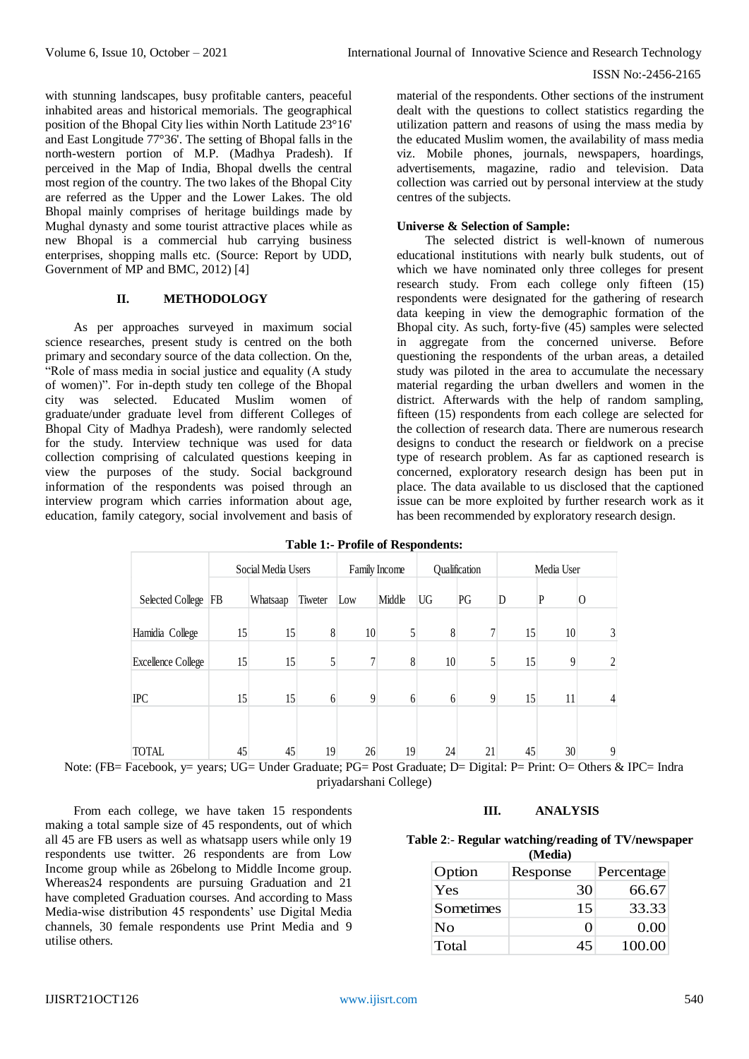with stunning landscapes, busy profitable canters, peaceful inhabited areas and historical memorials. The geographical position of the Bhopal City lies within North Latitude 23°16' and East Longitude 77°36'. The setting of Bhopal falls in the north-western portion of M.P. (Madhya Pradesh). If perceived in the Map of India, Bhopal dwells the central most region of the country. The two lakes of the Bhopal City are referred as the Upper and the Lower Lakes. The old Bhopal mainly comprises of heritage buildings made by Mughal dynasty and some tourist attractive places while as new Bhopal is a commercial hub carrying business enterprises, shopping malls etc. (Source: Report by UDD, Government of MP and BMC, 2012) [4]

# **II. METHODOLOGY**

As per approaches surveyed in maximum social science researches, present study is centred on the both primary and secondary source of the data collection. On the, "Role of mass media in social justice and equality (A study of women)". For in-depth study ten college of the Bhopal city was selected. Educated Muslim women of graduate/under graduate level from different Colleges of Bhopal City of Madhya Pradesh), were randomly selected for the study. Interview technique was used for data collection comprising of calculated questions keeping in view the purposes of the study. Social background information of the respondents was poised through an interview program which carries information about age, education, family category, social involvement and basis of

material of the respondents. Other sections of the instrument dealt with the questions to collect statistics regarding the utilization pattern and reasons of using the mass media by the educated Muslim women, the availability of mass media viz. Mobile phones, journals, newspapers, hoardings, advertisements, magazine, radio and television. Data collection was carried out by personal interview at the study centres of the subjects.

### **Universe & Selection of Sample:**

The selected district is well-known of numerous educational institutions with nearly bulk students, out of which we have nominated only three colleges for present research study. From each college only fifteen (15) respondents were designated for the gathering of research data keeping in view the demographic formation of the Bhopal city. As such, forty-five (45) samples were selected in aggregate from the concerned universe. Before questioning the respondents of the urban areas, a detailed study was piloted in the area to accumulate the necessary material regarding the urban dwellers and women in the district. Afterwards with the help of random sampling, fifteen (15) respondents from each college are selected for the collection of research data. There are numerous research designs to conduct the research or fieldwork on a precise type of research problem. As far as captioned research is concerned, exploratory research design has been put in place. The data available to us disclosed that the captioned issue can be more exploited by further research work as it has been recommended by exploratory research design.

| <b>Table 1:- Profile of Respondents:</b> |  |  |
|------------------------------------------|--|--|
|                                          |  |  |

|                                          |           | Social Media Users |         |          | Family Income |           | Qualification |           | Media User                     |                |
|------------------------------------------|-----------|--------------------|---------|----------|---------------|-----------|---------------|-----------|--------------------------------|----------------|
| <b>Selected College</b>                  | FB        | Whatsaap           | Tiweter | Low      | Middle        | <b>UG</b> | PG            | D         | P                              | $\Omega$       |
| Hamidia College                          | 15        | 15                 | 8       | 10       | 5             | 8         |               | 15        | 10                             | $\mathfrak{Z}$ |
| <b>Excellence College</b>                | 15        | 15                 |         | ┑        | 8             | 10        |               | 15        | 9                              | $\overline{2}$ |
| <b>IPC</b>                               | 15        | 15                 | 6       | 9        | 6             | 6         | 9             | 15        | 11                             | 4              |
|                                          |           |                    |         |          |               |           |               |           |                                |                |
| <b>TOTAL</b><br>$\overline{\phantom{a}}$ | 45<br>--- | 45<br>-- -         | 19<br>- | 26<br>-- | 19            | 24        | 21            | 45<br>- - | 30<br>$\overline{\phantom{0}}$ | 9<br>- -       |

Note: (FB= Facebook, y= years; UG= Under Graduate; PG= Post Graduate; D= Digital: P= Print: O= Others & IPC= Indra priyadarshani College)

From each college, we have taken 15 respondents making a total sample size of 45 respondents, out of which all 45 are FB users as well as whatsapp users while only 19 respondents use twitter. 26 respondents are from Low Income group while as 26belong to Middle Income group. Whereas24 respondents are pursuing Graduation and 21 have completed Graduation courses. And according to Mass Media-wise distribution 45 respondents' use Digital Media channels, 30 female respondents use Print Media and 9 utilise others.

## **III. ANALYSIS**

#### **Table 2**:- **Regular watching/reading of TV/newspaper**   $(\mathbf{M}\mathbf{A}\mathbf{B})$

| (Iviedia) |                   |            |  |  |
|-----------|-------------------|------------|--|--|
| Option    | Response          | Percentage |  |  |
| Yes       | 30                | 66.67      |  |  |
| Sometimes | 15                | 33.33      |  |  |
| No        | $\mathbf{\Omega}$ | 0.00       |  |  |
| Total     | 45                | 100.00     |  |  |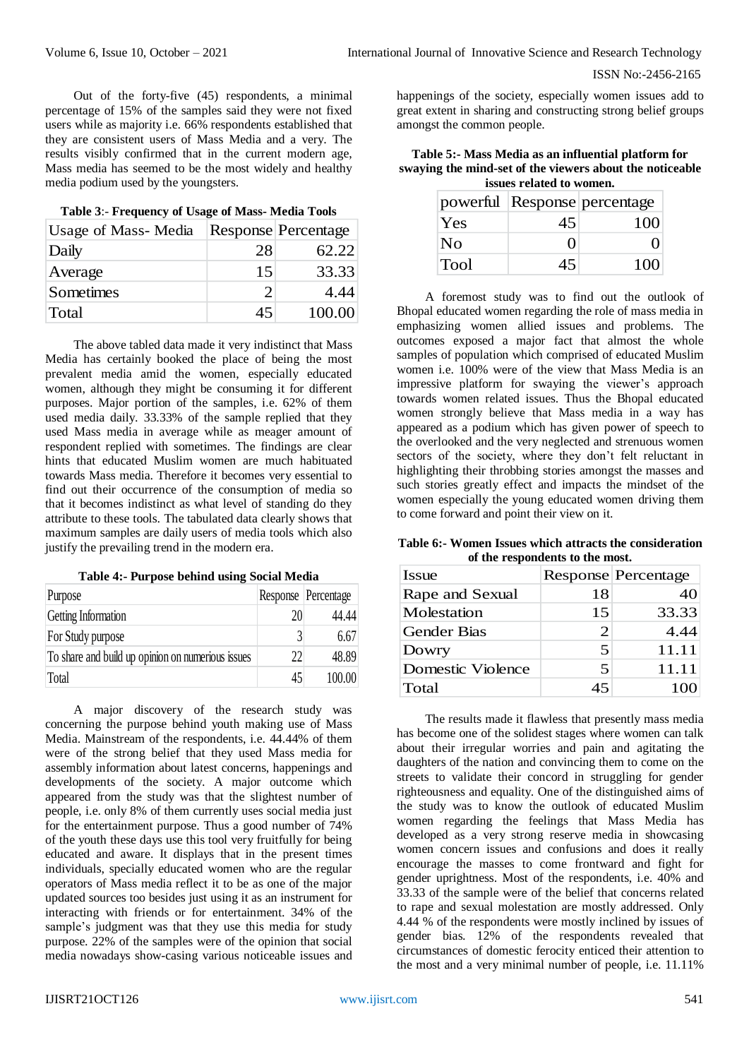Out of the forty-five (45) respondents, a minimal percentage of 15% of the samples said they were not fixed users while as majority i.e. 66% respondents established that they are consistent users of Mass Media and a very. The results visibly confirmed that in the current modern age, Mass media has seemed to be the most widely and healthy media podium used by the youngsters.

| Usage of Mass-Media |    | Response Percentage |
|---------------------|----|---------------------|
| Daily               | 28 | 62.22               |
| Average             | 15 | 33.33               |
| Sometimes           | ∍  | 4.44                |
| Total               | 45 | 100.00              |

**Table 3**:- **Frequency of Usage of Mass- Media Tools**

The above tabled data made it very indistinct that Mass Media has certainly booked the place of being the most prevalent media amid the women, especially educated women, although they might be consuming it for different purposes. Major portion of the samples, i.e. 62% of them used media daily. 33.33% of the sample replied that they used Mass media in average while as meager amount of respondent replied with sometimes. The findings are clear hints that educated Muslim women are much habituated towards Mass media. Therefore it becomes very essential to find out their occurrence of the consumption of media so that it becomes indistinct as what level of standing do they attribute to these tools. The tabulated data clearly shows that maximum samples are daily users of media tools which also justify the prevailing trend in the modern era.

**Table 4:- Purpose behind using Social Media**

| Purpose                                           |    | Response Percentage |
|---------------------------------------------------|----|---------------------|
| Getting Information                               | 20 | 44.44               |
| For Study purpose                                 |    | 6.67                |
| To share and build up opinion on numerious issues | 22 | 48.89               |
| Total                                             | 45 | 100.00              |

A major discovery of the research study was concerning the purpose behind youth making use of Mass Media. Mainstream of the respondents, i.e. 44.44% of them were of the strong belief that they used Mass media for assembly information about latest concerns, happenings and developments of the society. A major outcome which appeared from the study was that the slightest number of people, i.e. only 8% of them currently uses social media just for the entertainment purpose. Thus a good number of 74% of the youth these days use this tool very fruitfully for being educated and aware. It displays that in the present times individuals, specially educated women who are the regular operators of Mass media reflect it to be as one of the major updated sources too besides just using it as an instrument for interacting with friends or for entertainment. 34% of the sample's judgment was that they use this media for study purpose. 22% of the samples were of the opinion that social media nowadays show-casing various noticeable issues and

happenings of the society, especially women issues add to great extent in sharing and constructing strong belief groups amongst the common people.

**Table 5:- Mass Media as an influential platform for swaying the mind-set of the viewers about the noticeable issues related to women.**

|      |                   | powerful Response percentage |
|------|-------------------|------------------------------|
| Yes  | 45                | 100                          |
| No.  | $\mathbf{\Omega}$ |                              |
| Tool | 45                | 100                          |

A foremost study was to find out the outlook of Bhopal educated women regarding the role of mass media in emphasizing women allied issues and problems. The outcomes exposed a major fact that almost the whole samples of population which comprised of educated Muslim women i.e. 100% were of the view that Mass Media is an impressive platform for swaying the viewer's approach towards women related issues. Thus the Bhopal educated women strongly believe that Mass media in a way has appeared as a podium which has given power of speech to the overlooked and the very neglected and strenuous women sectors of the society, where they don't felt reluctant in highlighting their throbbing stories amongst the masses and such stories greatly effect and impacts the mindset of the women especially the young educated women driving them to come forward and point their view on it.

**Table 6:- Women Issues which attracts the consideration of the respondents to the most.**

| Issue              |                       | Response Percentage |
|--------------------|-----------------------|---------------------|
| Rape and Sexual    | 18                    | 40                  |
| Molestation        | 15                    | 33.33               |
| <b>Gender Bias</b> | $\mathcal{D}_{\cdot}$ | 4.44                |
| Dowry              | 5                     | 11.11               |
| Domestic Violence  | 5                     | 11.11               |
| Total              | 45                    |                     |

The results made it flawless that presently mass media has become one of the solidest stages where women can talk about their irregular worries and pain and agitating the daughters of the nation and convincing them to come on the streets to validate their concord in struggling for gender righteousness and equality. One of the distinguished aims of the study was to know the outlook of educated Muslim women regarding the feelings that Mass Media has developed as a very strong reserve media in showcasing women concern issues and confusions and does it really encourage the masses to come frontward and fight for gender uprightness. Most of the respondents, i.e. 40% and 33.33 of the sample were of the belief that concerns related to rape and sexual molestation are mostly addressed. Only 4.44 % of the respondents were mostly inclined by issues of gender bias. 12% of the respondents revealed that circumstances of domestic ferocity enticed their attention to the most and a very minimal number of people, i.e. 11.11%